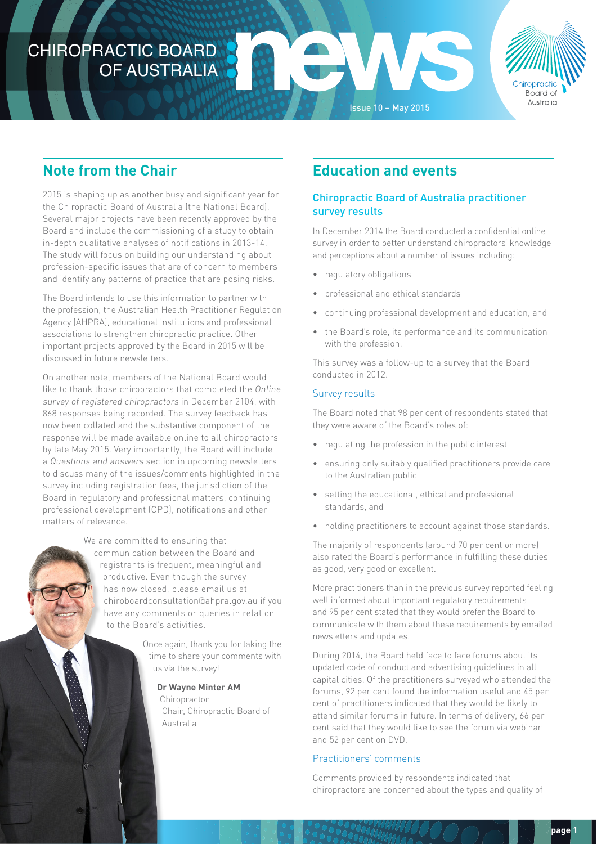# CHIROPRACTIC BOARD OF AUSTRALIA



# **Note from the Chair**

2015 is shaping up as another busy and significant year for the Chiropractic Board of Australia (the National Board). Several major projects have been recently approved by the Board and include the commissioning of a study to obtain in-depth qualitative analyses of notifications in 2013-14. The study will focus on building our understanding about profession-specific issues that are of concern to members and identify any patterns of practice that are posing risks.

The Board intends to use this information to partner with the profession, the Australian Health Practitioner Regulation Agency (AHPRA), educational institutions and professional associations to strengthen chiropractic practice. Other important projects approved by the Board in 2015 will be discussed in future newsletters.

On another note, members of the National Board would like to thank those chiropractors that completed the Online survey of registered chiropractors in December 2104, with 868 responses being recorded. The survey feedback has now been collated and the substantive component of the response will be made available online to all chiropractors by late May 2015. Very importantly, the Board will include a Questions and answers section in upcoming newsletters to discuss many of the issues/comments highlighted in the survey including registration fees, the jurisdiction of the Board in regulatory and professional matters, continuing professional development (CPD), notifications and other matters of relevance.

> We are committed to ensuring that communication between the Board and registrants is frequent, meaningful and productive. Even though the survey has now closed, please email us at chiroboardconsultation@ahpra.gov.au if you have any comments or queries in relation to the Board's activities.

> > Once again, thank you for taking the time to share your comments with us via the survey!

> > > **Dr Wayne Minter AM Chiropractor** Chair, Chiropractic Board of Australia

# **Education and events**

Issue 10 – May 2015

# Chiropractic Board of Australia practitioner survey results

In December 2014 the Board conducted a confidential online survey in order to better understand chiropractors' knowledge and perceptions about a number of issues including:

- regulatory obligations
- professional and ethical standards
- continuing professional development and education, and
- the Board's role, its performance and its communication with the profession.

This survey was a follow-up to a survey that the Board conducted in 2012.

# Survey results

The Board noted that 98 per cent of respondents stated that they were aware of the Board's roles of:

- regulating the profession in the public interest
- ensuring only suitably qualified practitioners provide care to the Australian public
- setting the educational, ethical and professional standards, and
- holding practitioners to account against those standards.

The majority of respondents (around 70 per cent or more) also rated the Board's performance in fulfilling these duties as good, very good or excellent.

More practitioners than in the previous survey reported feeling well informed about important regulatory requirements and 95 per cent stated that they would prefer the Board to communicate with them about these requirements by emailed newsletters and updates.

During 2014, the Board held face to face forums about its updated code of conduct and advertising guidelines in all capital cities. Of the practitioners surveyed who attended the forums, 92 per cent found the information useful and 45 per cent of practitioners indicated that they would be likely to attend similar forums in future. In terms of delivery, 66 per cent said that they would like to see the forum via webinar and 52 per cent on DVD.

# Practitioners' comments

Comments provided by respondents indicated that chiropractors are concerned about the types and quality of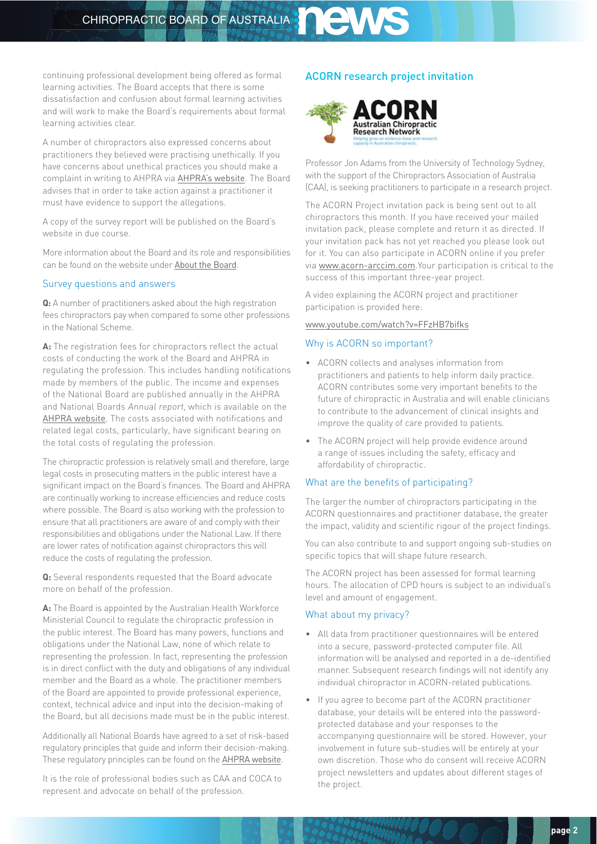# CHIROPRACTIC BOARD OF AUSTRALIA STRALIA

continuing professional development being offered as formal learning activities. The Board accepts that there is some dissatisfaction and confusion about formal learning activities and will work to make the Board's requirements about formal learning activities clear.

A number of chiropractors also expressed concerns about practitioners they believed were practising unethically. If you have concerns about unethical practices you should make a complaint in writing to AHPRA via [AHPRA's website](http://www.ahpra.gov.au/Notifications/What-is-a-notification.aspx). The Board advises that in order to take action against a practitioner it must have evidence to support the allegations.

A copy of the survey report will be published on the Board's website in due course.

More information about the Board and its role and responsibilities can be found on the [website](http://www.chiropracticboard.gov.au/) under [About the Board](http://www.chiropracticboard.gov.au/About-the-Board.aspx).

#### Survey questions and answers

**Q:** A number of practitioners asked about the high registration fees chiropractors pay when compared to some other professions in the National Scheme.

**A:** The registration fees for chiropractors reflect the actual costs of conducting the work of the Board and AHPRA in regulating the profession. This includes handling notifications made by members of the public. The income and expenses of the National Board are published annually in the AHPRA and National Boards Annual report, which is available on the [AHPRA website](http://www.ahpra.gov.au/Publications/Corporate-publications/Annual-reports.aspx). The costs associated with notifications and related legal costs, particularly, have significant bearing on the total costs of regulating the profession.

The chiropractic profession is relatively small and therefore, large legal costs in prosecuting matters in the public interest have a significant impact on the Board's finances. The Board and AHPRA are continually working to increase efficiencies and reduce costs where possible. The Board is also working with the profession to ensure that all practitioners are aware of and comply with their responsibilities and obligations under the National Law. If there are lower rates of notification against chiropractors this will reduce the costs of regulating the profession.

**Q:** Several respondents requested that the Board advocate more on behalf of the profession.

**A:** The Board is appointed by the Australian Health Workforce Ministerial Council to regulate the chiropractic profession in the public interest. The Board has many powers, functions and obligations under the National Law, none of which relate to representing the profession. In fact, representing the profession is in direct conflict with the duty and obligations of any individual member and the Board as a whole. The practitioner members of the Board are appointed to provide professional experience, context, technical advice and input into the decision-making of the Board, but all decisions made must be in the public interest.

Additionally all National Boards have agreed to a set of risk-based regulatory principles that guide and inform their decision-making. These regulatory principles can be found on the [AHPRA website](http://www.ahpra.gov.au/About-AHPRA/Regulatory-principles.aspx).

It is the role of professional bodies such as CAA and COCA to represent and advocate on behalf of the profession.

### ACORN research project invitation



Professor Jon Adams from the University of Technology Sydney, with the support of the Chiropractors Association of Australia (CAA), is seeking practitioners to participate in a research project.

The ACORN Project invitation pack is being sent out to all chiropractors this month. If you have received your mailed invitation pack, please complete and return it as directed. If your invitation pack has not yet reached you please look out for it. You can also participate in ACORN online if you prefer via [www.acorn-arccim.com](http://www.acorn-arccim.com).Your participation is critical to the success of this important three-year project.

A video explaining the ACORN project and practitioner participation is provided here:

#### [www.youtube.com/watch?v=FFzHB7bifks](http://www.youtube.com/watch?v=FFzHB7bifks)

#### Why is ACORN so important?

- ACORN collects and analyses information from practitioners and patients to help inform daily practice. ACORN contributes some very important benefits to the future of chiropractic in Australia and will enable clinicians to contribute to the advancement of clinical insights and improve the quality of care provided to patients.
- The ACORN project will help provide evidence around a range of issues including the safety, efficacy and affordability of chiropractic.

#### What are the benefits of participating?

The larger the number of chiropractors participating in the ACORN questionnaires and practitioner database, the greater the impact, validity and scientific rigour of the project findings.

You can also contribute to and support ongoing sub-studies on specific topics that will shape future research.

The ACORN project has been assessed for formal learning hours. The allocation of CPD hours is subject to an individual's level and amount of engagement.

#### What about my privacy?

- All data from practitioner questionnaires will be entered into a secure, password-protected computer file. All information will be analysed and reported in a de-identified manner. Subsequent research findings will not identify any individual chiropractor in ACORN-related publications.
- If you agree to become part of the ACORN practitioner database, your details will be entered into the passwordprotected database and your responses to the accompanying questionnaire will be stored. However, your involvement in future sub-studies will be entirely at your own discretion. Those who do consent will receive ACORN project newsletters and updates about different stages of the project.

9006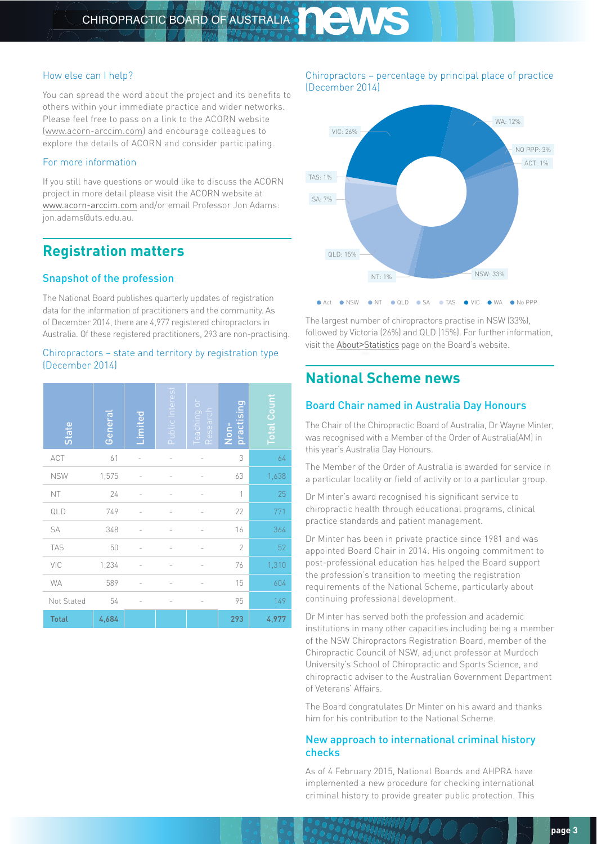### How else can I help?

You can spread the word about the project and its benefits to others within your immediate practice and wider networks. Please feel free to pass on a link to the ACORN website [\(www.acorn-arccim.com](http://www.acorn-arccim.com)) and encourage colleagues to explore the details of ACORN and consider participating.

# For more information

If you still have questions or would like to discuss the ACORN project in more detail please visit the ACORN website at [www.acorn-arccim.com](http://www.acorn-arccim.com) and/or email Professor Jon Adams: jon.adams@uts.edu.au.

# **Registration matters**

# Snapshot of the profession

The National Board publishes quarterly updates of registration data for the information of practitioners and the community. As of December 2014, there are 4,977 registered chiropractors in Australia. Of these registered practitioners, 293 are non-practising.

### Chiropractors – state and territory by registration type (December 2014)

| State        | General | Limited        | Public Interest | Ō<br>Teaching<br>Research | practising<br>Non- | <b>Total Count</b> |
|--------------|---------|----------------|-----------------|---------------------------|--------------------|--------------------|
| ACT          | 61      |                |                 |                           | 3                  | 64                 |
| <b>NSW</b>   | 1,575   |                |                 |                           | 63                 | 1,638              |
| NT           | 24      |                |                 |                           | 1                  | 25                 |
| QLD          | 749     |                |                 |                           | 22                 | 771                |
| SA           | 348     |                |                 |                           | 16                 | 364                |
| TAS          | 50      |                |                 |                           | $\overline{2}$     | 52                 |
| VIC          | 1,234   |                |                 |                           | 76                 | 1,310              |
| <b>WA</b>    | 589     |                |                 |                           | 15                 | 604                |
| Not Stated   | 54      | $\overline{a}$ | $\overline{a}$  |                           | 95                 | 149                |
| <b>Total</b> | 4,684   |                |                 |                           | 293                | 4,977              |

### Chiropractors – percentage by principal place of practice (December 2014)



The largest number of chiropractors practise in NSW (33%), followed by Victoria (26%) and QLD (15%). For further information, visit the About>[Statistics](http://www.chiropracticboard.gov.au/About-the-Board/Statistics.aspx) page on the Board's website.

# **National Scheme news**

# Board Chair named in Australia Day Honours

The Chair of the Chiropractic Board of Australia, Dr Wayne Minter, was recognised with a Member of the Order of Australia(AM) in this year's Australia Day Honours.

The Member of the Order of Australia is awarded for service in a particular locality or field of activity or to a particular group.

Dr Minter's award recognised his significant service to chiropractic health through educational programs, clinical practice standards and patient management.

Dr Minter has been in private practice since 1981 and was appointed Board Chair in 2014. His ongoing commitment to post-professional education has helped the Board support the profession's transition to meeting the registration requirements of the National Scheme, particularly about continuing professional development.

Dr Minter has served both the profession and academic institutions in many other capacities including being a member of the NSW Chiropractors Registration Board, member of the Chiropractic Council of NSW, adjunct professor at Murdoch University's School of Chiropractic and Sports Science, and chiropractic adviser to the Australian Government Department of Veterans' Affairs.

The Board congratulates Dr Minter on his award and thanks him for his contribution to the National Scheme.

# New approach to international criminal history checks

As of 4 February 2015, National Boards and AHPRA have implemented a new procedure for checking international criminal history to provide greater public protection. This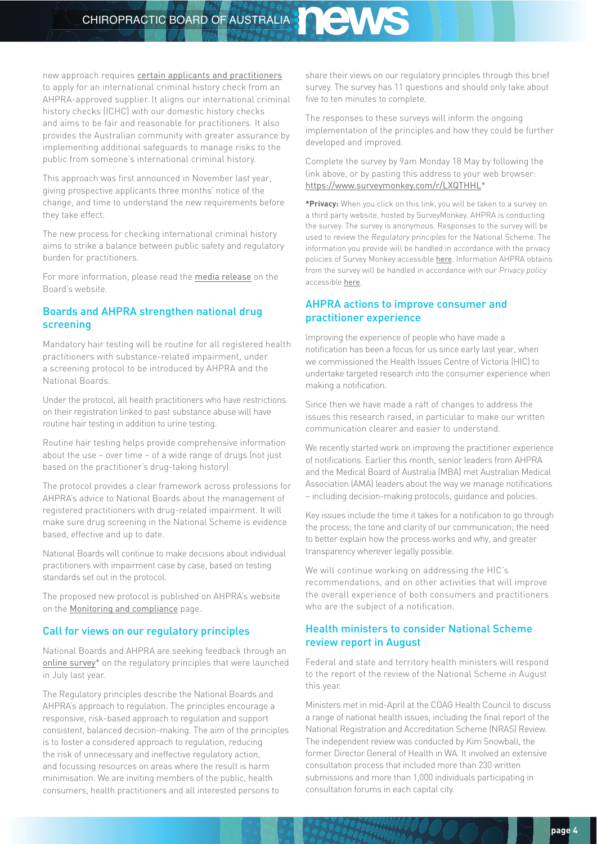CHIROPRACTIC BOARD OF AUSTRALIA STRALIA

new approach requires [certain applicants and practitioners](http://www.ahpra.gov.au/Registration/Registration-Process/Criminal-history-checks/International-Criminal-History.aspx) to apply for an international criminal history check from an AHPRA-approved supplier. It aligns our international criminal history checks (ICHC) with our domestic history checks and aims to be fair and reasonable for practitioners. It also provides the Australian community with greater assurance by implementing additional safeguards to manage risks to the public from someone's international criminal history.

This approach was first announced in November last year, giving prospective applicants three months' notice of the change, and time to understand the new requirements before they take effect.

The new process for checking international criminal history aims to strike a balance between public safety and regulatory burden for practitioners.

For more information, please read the [media release](http://www.chiropracticboard.gov.au/News/2015-04-04-media-release.aspx) on the Board's website.

# Boards and AHPRA strengthen national drug screening

Mandatory hair testing will be routine for all registered health practitioners with substance-related impairment, under a screening protocol to be introduced by AHPRA and the National Boards.

Under the protocol, all health practitioners who have restrictions on their registration linked to past substance abuse will have routine hair testing in addition to urine testing.

Routine hair testing helps provide comprehensive information about the use – over time – of a wide range of drugs (not just based on the practitioner's drug-taking history).

The protocol provides a clear framework across professions for AHPRA's advice to National Boards about the management of registered practitioners with drug-related impairment. It will make sure drug screening in the National Scheme is evidence based, effective and up to date.

National Boards will continue to make decisions about individual practitioners with impairment case by case, based on testing standards set out in the protocol.

The proposed new protocol is published on AHPRA's website on the [Monitoring and compliance](http://www.ahpra.gov.au/Publications/Monitoring-and-compliance.aspx) page.

# Call for views on our regulatory principles

National Boards and AHPRA are seeking feedback through an [online survey](https://www.surveymonkey.com/r/LXQTHHL)\* on the regulatory principles that were launched in July last year.

The Regulatory principles describe the National Boards and AHPRA's approach to regulation. The principles encourage a responsive, risk-based approach to regulation and support consistent, balanced decision-making. The aim of the principles is to foster a considered approach to regulation, reducing the risk of unnecessary and ineffective regulatory action, and focussing resources on areas where the result is harm minimisation. We are inviting members of the public, health consumers, health practitioners and all interested persons to

share their views on our [regulatory principles](http://www.ahpra.gov.au/About-AHPRA/Regulatory-principles.aspx) through this brief survey. The survey has 11 questions and should only take about five to ten minutes to complete.

The responses to these surveys will inform the ongoing implementation of the principles and how they could be further developed and improved.

### Complete the survey by 9am Monday 18 May by following the link above, or by pasting this address to your web browser: <https://www.surveymonkey.com/r/LXQTHHL>\*

**\*Privacy:** When you click on this link, you will be taken to a survey on a third party website, hosted by SurveyMonkey. AHPRA is conducting the survey. The survey is anonymous. Responses to the survey will be used to review the Regulatory principles for the National Scheme. The information you provide will be handled in accordance with the privacy policies of Survey Monkey accessible [here](https://www.surveymonkey.com/mp/policy/privacy-policy-20110627/). Information AHPRA obtains from the survey will be handled in accordance with our Privacy policy accessible [here](http://www.ahpra.gov.au/About-AHPRA/Privacy.aspx).

### AHPRA actions to improve consumer and practitioner experience

Improving the experience of people who have made a notification has been a focus for us since early last year, when we commissioned the Health Issues Centre of Victoria (HIC) to undertake targeted research into the consumer experience when making a notification.

Since then we have made a raft of changes to address the issues this research raised, in particular to make our written communication clearer and easier to understand.

We recently started work on improving the practitioner experience of notifications. Earlier this month, senior leaders from AHPRA and the Medical Board of Australia (MBA) met Australian Medical Association (AMA) leaders about the way we manage notifications – including decision-making protocols, guidance and policies.

Key issues include the time it takes for a notification to go through the process; the tone and clarity of our communication; the need to better explain how the process works and why, and greater transparency wherever legally possible.

We will continue working on addressing the HIC's recommendations, and on other activities that will improve the overall experience of both consumers and practitioners who are the subject of a notification.

### Health ministers to consider National Scheme review report in August

Federal and state and territory health ministers will respond to the report of the review of the National Scheme in August this year.

Ministers met in mid-April at the COAG Health Council to discuss a range of national health issues, including the final report of the National Registration and Accreditation Scheme (NRAS) Review. The independent review was conducted by Kim Snowball, the former Director General of Health in WA. It involved an extensive consultation process that included more than 230 written submissions and more than 1,000 individuals participating in consultation forums in each capital city.

**900**0